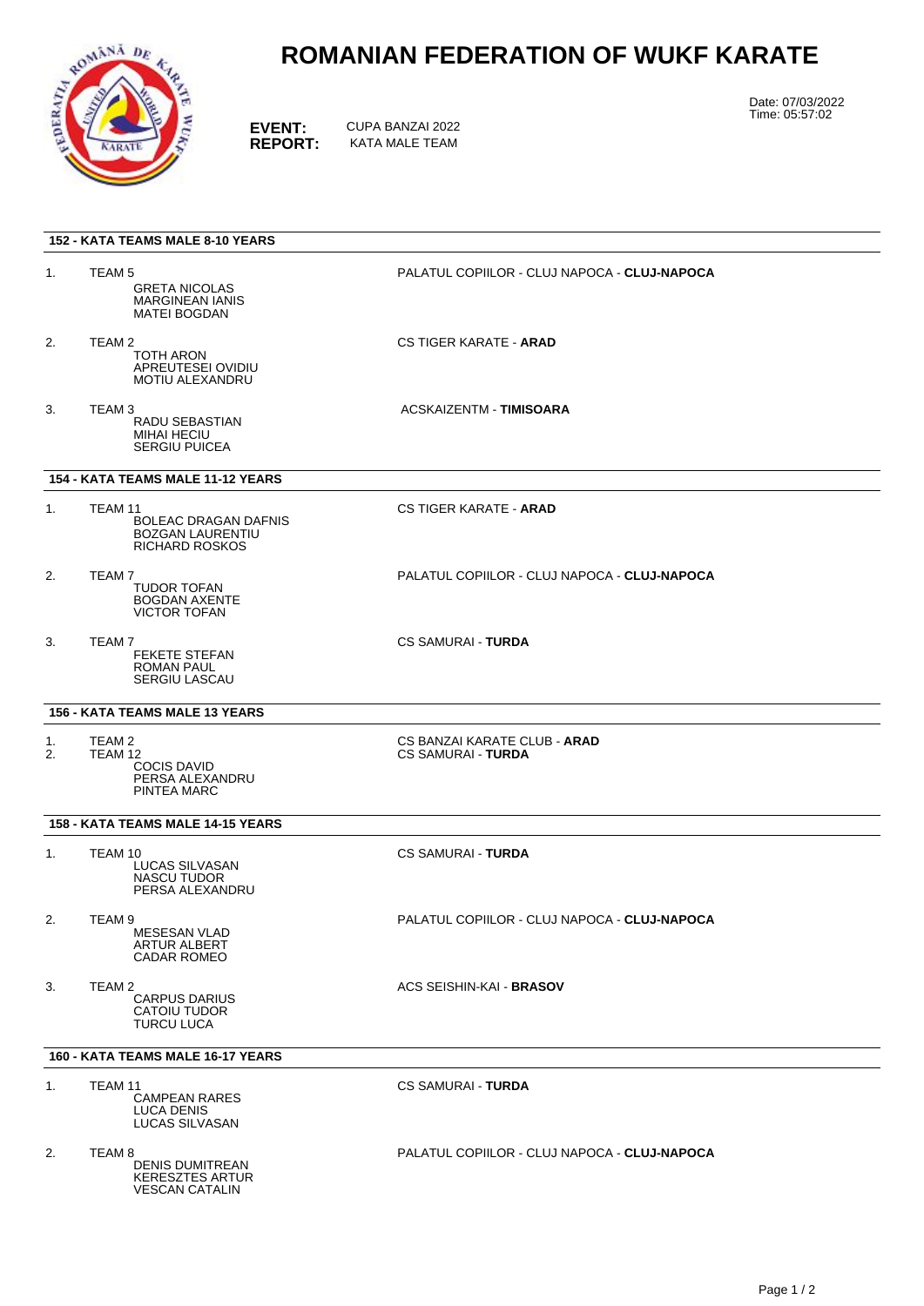

## **ROMANIAN FEDERATION OF WUKF KARATE**

**EVENT:** CUPA BANZAI 2022<br> **REPORT:** KATA MALE TEAM **REPORT:** KATA MALE TEAM

Date: 07/03/2022 Time: 05:57:02

| <b>152 - KATA TEAMS MALE 8-10 YEARS</b>  |                                                                                                |                                                           |
|------------------------------------------|------------------------------------------------------------------------------------------------|-----------------------------------------------------------|
| 1.                                       | TEAM <sub>5</sub><br><b>GRETA NICOLAS</b><br><b>MARGINEAN IANIS</b><br><b>MATEI BOGDAN</b>     | PALATUL COPIILOR - CLUJ NAPOCA - CLUJ-NAPOCA              |
| 2.                                       | TEAM <sub>2</sub><br>TOTH ARON<br>APREUTESEI OVIDIU<br>MOTIU ALEXANDRU                         | <b>CS TIGER KARATE - ARAD</b>                             |
| 3.                                       | TEAM <sub>3</sub><br>RADU SEBASTIAN<br><b>MIHAI HECIU</b><br><b>SERGIU PUICEA</b>              | ACSKAIZENTM - TIMISOARA                                   |
| 154 - KATA TEAMS MALE 11-12 YEARS        |                                                                                                |                                                           |
| 1.                                       | TEAM 11<br>BOLEAC DRAGAN DAFNIS<br><b>BOZGAN LAURENTIU</b><br>RICHARD ROSKOS                   | <b>CS TIGER KARATE - ARAD</b>                             |
| 2.                                       | TEAM 7<br><b>TUDOR TOFAN</b><br><b>BOGDAN AXENTE</b><br><b>VICTOR TOFAN</b>                    | PALATUL COPIILOR - CLUJ NAPOCA - CLUJ-NAPOCA              |
| 3.                                       | TEAM <sub>7</sub><br><b>FEKETE STEFAN</b><br><b>ROMAN PAUL</b><br><b>SERGIU LASCAU</b>         | <b>CS SAMURAI - TURDA</b>                                 |
| <b>156 - KATA TEAMS MALE 13 YEARS</b>    |                                                                                                |                                                           |
| 1.<br>2.                                 | TEAM 2<br>TEAM 12<br><b>COCIS DAVID</b><br>PERSA ALEXANDRU<br>PINTEA MARC                      | CS BANZAI KARATE CLUB - ARAD<br><b>CS SAMURAI - TURDA</b> |
| 158 - KATA TEAMS MALE 14-15 YEARS        |                                                                                                |                                                           |
| 1.                                       | TEAM 10<br>LUCAS SILVASAN<br><b>NASCU TUDOR</b><br>PERSA ALEXANDRU                             | <b>CS SAMURAI - TURDA</b>                                 |
| 2.                                       | TEAM 9<br><b>MESESAN VLAD</b><br>ARTUR ALBERT<br><b>CADAR ROMEO</b>                            | PALATUL COPIILOR - CLUJ NAPOCA - CLUJ-NAPOCA              |
| 3.                                       | TEAM 2<br><b>CARPUS DARIUS</b><br>CATOIU TUDOR<br><b>TURCU LUCA</b>                            | <b>ACS SEISHIN-KAI - BRASOV</b>                           |
| <b>160 - KATA TEAMS MALE 16-17 YEARS</b> |                                                                                                |                                                           |
| 1.                                       | TEAM 11<br><b>CAMPEAN RARES</b><br><b>LUCA DENIS</b><br>LUCAS SILVASAN                         | <b>CS SAMURAI - TURDA</b>                                 |
| 2.                                       | TEAM <sub>8</sub><br><b>DENIS DUMITREAN</b><br><b>KERESZTES ARTUR</b><br><b>VESCAN CATALIN</b> | PALATUL COPIILOR - CLUJ NAPOCA - CLUJ-NAPOCA              |